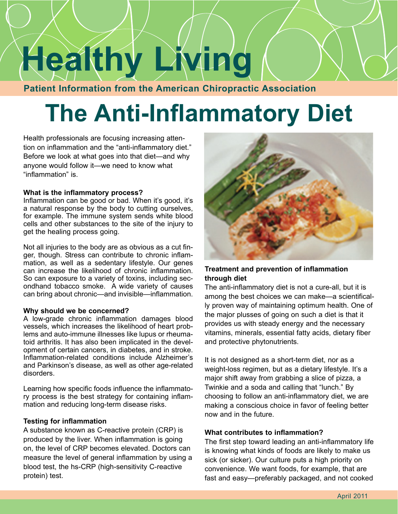# **Healthy Living**

**Patient Information from the American Chiropractic Association**

# **The Anti-Inflammatory Diet**

Health professionals are focusing increasing attention on inflammation and the "anti-inflammatory diet." Before we look at what goes into that diet—and why anyone would follow it—we need to know what "inflammation" is.

#### **What is the inflammatory process?**

Inflammation can be good or bad. When it's good, it's a natural response by the body to cutting ourselves, for example. The immune system sends white blood cells and other substances to the site of the injury to get the healing process going.

Not all injuries to the body are as obvious as a cut finger, though. Stress can contribute to chronic inflammation, as well as a sedentary lifestyle. Our genes can increase the likelihood of chronic inflammation. So can exposure to a variety of toxins, including secondhand tobacco smoke. A wide variety of causes can bring about chronic—and invisible—inflammation.

#### **Why should we be concerned?**

A low-grade chronic inflammation damages blood vessels, which increases the likelihood of heart problems and auto-immune illnesses like lupus or rheumatoid arthritis. It has also been implicated in the development of certain cancers, in diabetes, and in stroke. Inflammation-related conditions include Alzheimer's and Parkinson's disease, as well as other age-related disorders.

Learning how specific foods influence the inflammatory process is the best strategy for containing inflammation and reducing long-term disease risks.

#### **Testing for inflammation**

A substance known as C-reactive protein (CRP) is produced by the liver. When inflammation is going on, the level of CRP becomes elevated. Doctors can measure the level of general inflammation by using a blood test, the hs-CRP (high-sensitivity C-reactive protein) test.



#### **Treatment and prevention of inflammation through diet**

The anti-inflammatory diet is not a cure-all, but it is among the best choices we can make—a scientifically proven way of maintaining optimum health. One of the major plusses of going on such a diet is that it provides us with steady energy and the necessary vitamins, minerals, essential fatty acids, dietary fiber and protective phytonutrients.

It is not designed as a short-term diet, nor as a weight-loss regimen, but as a dietary lifestyle. It's a major shift away from grabbing a slice of pizza, a Twinkie and a soda and calling that "lunch." By choosing to follow an anti-inflammatory diet, we are making a conscious choice in favor of feeling better now and in the future.

#### **What contributes to inflammation?**

The first step toward leading an anti-inflammatory life is knowing what kinds of foods are likely to make us sick (or sicker). Our culture puts a high priority on convenience. We want foods, for example, that are fast and easy—preferably packaged, and not cooked